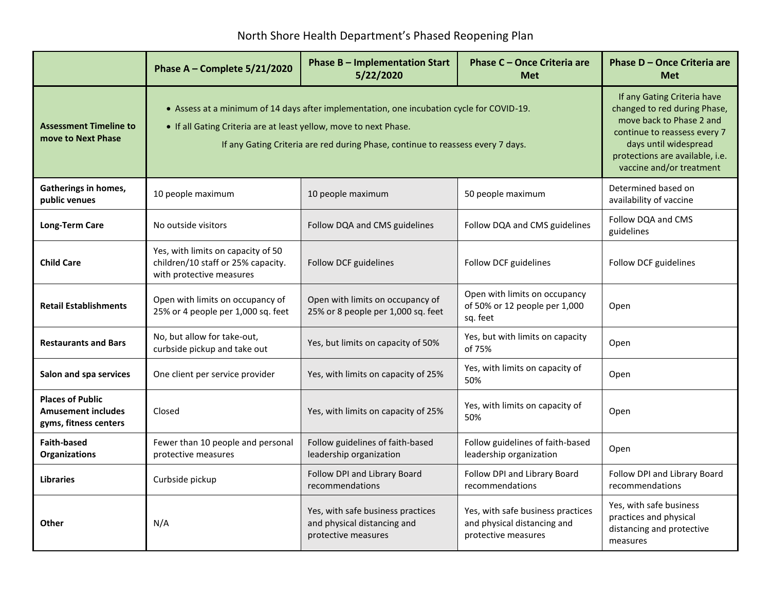## North Shore Health Department's Phased Reopening Plan

|                                                                               | Phase A - Complete 5/21/2020                                                                                                                                                                                                                      | <b>Phase B - Implementation Start</b><br>5/22/2020                                                                                                                                                              | <b>Phase C - Once Criteria are</b><br><b>Met</b>                                        | Phase D - Once Criteria are<br><b>Met</b>                                                  |
|-------------------------------------------------------------------------------|---------------------------------------------------------------------------------------------------------------------------------------------------------------------------------------------------------------------------------------------------|-----------------------------------------------------------------------------------------------------------------------------------------------------------------------------------------------------------------|-----------------------------------------------------------------------------------------|--------------------------------------------------------------------------------------------|
| <b>Assessment Timeline to</b><br>move to Next Phase                           | • Assess at a minimum of 14 days after implementation, one incubation cycle for COVID-19.<br>• If all Gating Criteria are at least yellow, move to next Phase.<br>If any Gating Criteria are red during Phase, continue to reassess every 7 days. | If any Gating Criteria have<br>changed to red during Phase,<br>move back to Phase 2 and<br>continue to reassess every 7<br>days until widespread<br>protections are available, i.e.<br>vaccine and/or treatment |                                                                                         |                                                                                            |
| <b>Gatherings in homes,</b><br>public venues                                  | 10 people maximum                                                                                                                                                                                                                                 | 10 people maximum                                                                                                                                                                                               | 50 people maximum                                                                       | Determined based on<br>availability of vaccine                                             |
| <b>Long-Term Care</b>                                                         | No outside visitors                                                                                                                                                                                                                               | Follow DQA and CMS guidelines                                                                                                                                                                                   | Follow DQA and CMS guidelines                                                           | Follow DQA and CMS<br>guidelines                                                           |
| <b>Child Care</b>                                                             | Yes, with limits on capacity of 50<br>children/10 staff or 25% capacity.<br>with protective measures                                                                                                                                              | Follow DCF guidelines                                                                                                                                                                                           | Follow DCF guidelines                                                                   | Follow DCF guidelines                                                                      |
| <b>Retail Establishments</b>                                                  | Open with limits on occupancy of<br>25% or 4 people per 1,000 sq. feet                                                                                                                                                                            | Open with limits on occupancy of<br>25% or 8 people per 1,000 sq. feet                                                                                                                                          | Open with limits on occupancy<br>of 50% or 12 people per 1,000<br>sq. feet              | Open                                                                                       |
| <b>Restaurants and Bars</b>                                                   | No, but allow for take-out,<br>curbside pickup and take out                                                                                                                                                                                       | Yes, but limits on capacity of 50%                                                                                                                                                                              | Yes, but with limits on capacity<br>of 75%                                              | Open                                                                                       |
| Salon and spa services                                                        | One client per service provider                                                                                                                                                                                                                   | Yes, with limits on capacity of 25%                                                                                                                                                                             | Yes, with limits on capacity of<br>50%                                                  | Open                                                                                       |
| <b>Places of Public</b><br><b>Amusement includes</b><br>gyms, fitness centers | Closed                                                                                                                                                                                                                                            | Yes, with limits on capacity of 25%                                                                                                                                                                             | Yes, with limits on capacity of<br>50%                                                  | Open                                                                                       |
| <b>Faith-based</b><br><b>Organizations</b>                                    | Fewer than 10 people and personal<br>protective measures                                                                                                                                                                                          | Follow guidelines of faith-based<br>leadership organization                                                                                                                                                     | Follow guidelines of faith-based<br>leadership organization                             | Open                                                                                       |
| <b>Libraries</b>                                                              | Curbside pickup                                                                                                                                                                                                                                   | Follow DPI and Library Board<br>recommendations                                                                                                                                                                 | Follow DPI and Library Board<br>recommendations                                         | Follow DPI and Library Board<br>recommendations                                            |
| Other                                                                         | N/A                                                                                                                                                                                                                                               | Yes, with safe business practices<br>and physical distancing and<br>protective measures                                                                                                                         | Yes, with safe business practices<br>and physical distancing and<br>protective measures | Yes, with safe business<br>practices and physical<br>distancing and protective<br>measures |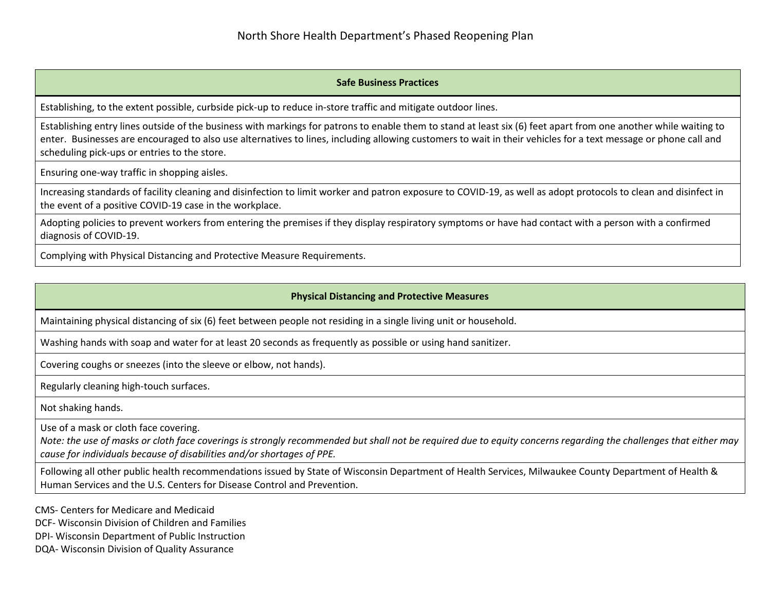## **Safe Business Practices**

Establishing, to the extent possible, curbside pick-up to reduce in-store traffic and mitigate outdoor lines.

Establishing entry lines outside of the business with markings for patrons to enable them to stand at least six (6) feet apart from one another while waiting to enter. Businesses are encouraged to also use alternatives to lines, including allowing customers to wait in their vehicles for a text message or phone call and scheduling pick-ups or entries to the store.

Ensuring one-way traffic in shopping aisles.

Increasing standards of facility cleaning and disinfection to limit worker and patron exposure to COVID-19, as well as adopt protocols to clean and disinfect in the event of a positive COVID-19 case in the workplace.

Adopting policies to prevent workers from entering the premises if they display respiratory symptoms or have had contact with a person with a confirmed diagnosis of COVID-19.

Complying with Physical Distancing and Protective Measure Requirements.

## **Physical Distancing and Protective Measures**

Maintaining physical distancing of six (6) feet between people not residing in a single living unit or household.

Washing hands with soap and water for at least 20 seconds as frequently as possible or using hand sanitizer.

Covering coughs or sneezes (into the sleeve or elbow, not hands).

Regularly cleaning high-touch surfaces.

Not shaking hands.

Use of a mask or cloth face covering.

*Note: the use of masks or cloth face coverings is strongly recommended but shall not be required due to equity concerns regarding the challenges that either may cause for individuals because of disabilities and/or shortages of PPE.*

Following all other public health recommendations issued by State of Wisconsin Department of Health Services, Milwaukee County Department of Health & Human Services and the U.S. Centers for Disease Control and Prevention.

CMS- Centers for Medicare and Medicaid

DCF- Wisconsin Division of Children and Families

DPI- Wisconsin Department of Public Instruction

DQA- Wisconsin Division of Quality Assurance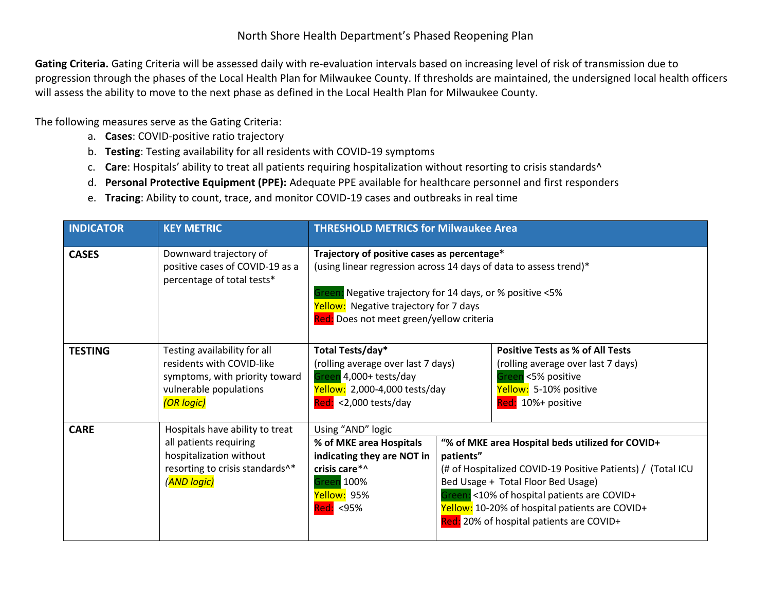Gating Criteria. Gating Criteria will be assessed daily with re-evaluation intervals based on increasing level of risk of transmission due to progression through the phases of the Local Health Plan for Milwaukee County. If thresholds are maintained, the undersigned local health officers will assess the ability to move to the next phase as defined in the Local Health Plan for Milwaukee County.

The following measures serve as the Gating Criteria:

- a. **Cases**: COVID-positive ratio trajectory
- b. **Testing**: Testing availability for all residents with COVID-19 symptoms
- c. **Care**: Hospitals' ability to treat all patients requiring hospitalization without resorting to crisis standards^
- d. **Personal Protective Equipment (PPE):** Adequate PPE available for healthcare personnel and first responders
- e. **Tracing**: Ability to count, trace, and monitor COVID-19 cases and outbreaks in real time

| <b>INDICATOR</b> | <b>KEY METRIC</b>                                                                                                                      | <b>THRESHOLD METRICS for Milwaukee Area</b>                                                                                                                                                                                                                           |                                                                                                                                                                                                                                                                                                                 |                                                                                                                                                     |
|------------------|----------------------------------------------------------------------------------------------------------------------------------------|-----------------------------------------------------------------------------------------------------------------------------------------------------------------------------------------------------------------------------------------------------------------------|-----------------------------------------------------------------------------------------------------------------------------------------------------------------------------------------------------------------------------------------------------------------------------------------------------------------|-----------------------------------------------------------------------------------------------------------------------------------------------------|
| <b>CASES</b>     | Downward trajectory of<br>positive cases of COVID-19 as a<br>percentage of total tests*                                                | Trajectory of positive cases as percentage*<br>(using linear regression across 14 days of data to assess trend)*<br>Negative trajectory for 14 days, or % positive <5%<br>ireen<br>Yellow: Negative trajectory for 7 days<br>Red: Does not meet green/yellow criteria |                                                                                                                                                                                                                                                                                                                 |                                                                                                                                                     |
| <b>TESTING</b>   | Testing availability for all<br>residents with COVID-like<br>symptoms, with priority toward<br>vulnerable populations<br>(OR logic)    | Total Tests/day*<br>(rolling average over last 7 days)<br>Green 4,000+ tests/day<br>Yellow: 2,000-4,000 tests/day<br>$Red: < 2,000$ tests/day                                                                                                                         |                                                                                                                                                                                                                                                                                                                 | <b>Positive Tests as % of All Tests</b><br>(rolling average over last 7 days)<br>Freen <5% positive<br>Yellow: 5-10% positive<br>Red: 10%+ positive |
| <b>CARE</b>      | Hospitals have ability to treat<br>all patients requiring<br>hospitalization without<br>resorting to crisis standards^*<br>(AND logic) | Using "AND" logic<br>% of MKE area Hospitals<br>indicating they are NOT in<br>crisis care*^<br>Green 100%<br><mark>Yellow:</mark> 95%<br><mark>Red:</mark> <95%                                                                                                       | "% of MKE area Hospital beds utilized for COVID+<br>patients"<br>(# of Hospitalized COVID-19 Positive Patients) / (Total ICU<br>Bed Usage + Total Floor Bed Usage)<br>Green: <10% of hospital patients are COVID+<br>Yellow: 10-20% of hospital patients are COVID+<br>Red: 20% of hospital patients are COVID+ |                                                                                                                                                     |